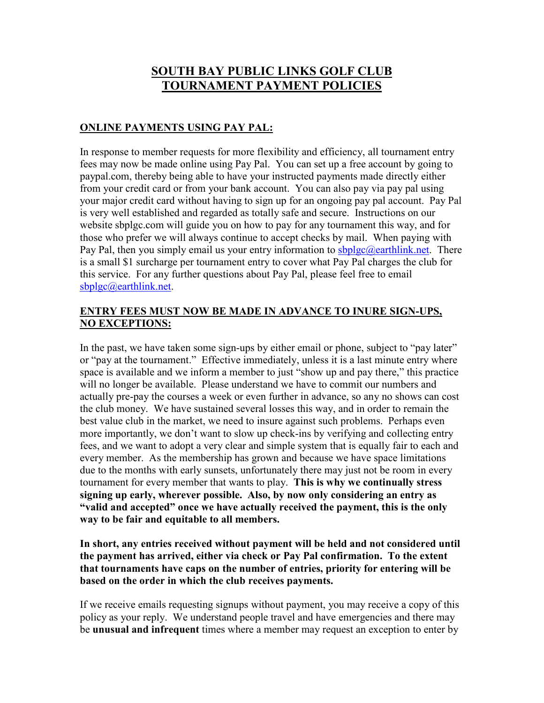## **SOUTH BAY PUBLIC LINKS GOLF CLUB TOURNAMENT PAYMENT POLICIES**

## **ONLINE PAYMENTS USING PAY PAL:**

In response to member requests for more flexibility and efficiency, all tournament entry fees may now be made online using Pay Pal. You can set up a free account by going to paypal.com, thereby being able to have your instructed payments made directly either from your credit card or from your bank account. You can also pay via pay pal using your major credit card without having to sign up for an ongoing pay pal account. Pay Pal is very well established and regarded as totally safe and secure. Instructions on our website sbplgc.com will guide you on how to pay for any tournament this way, and for those who prefer we will always continue to accept checks by mail. When paying with Pay Pal, then you simply email us your entry information to  $sbblgc@$  earthlink, net. There is a small \$1 surcharge per tournament entry to cover what Pay Pal charges the club for this service. For any further questions about Pay Pal, please feel free to email sbplgc@earthlink.net.

## **ENTRY FEES MUST NOW BE MADE IN ADVANCE TO INURE SIGN-UPS, NO EXCEPTIONS:**

In the past, we have taken some sign-ups by either email or phone, subject to "pay later" or "pay at the tournament." Effective immediately, unless it is a last minute entry where space is available and we inform a member to just "show up and pay there," this practice will no longer be available. Please understand we have to commit our numbers and actually pre-pay the courses a week or even further in advance, so any no shows can cost the club money. We have sustained several losses this way, and in order to remain the best value club in the market, we need to insure against such problems. Perhaps even more importantly, we don't want to slow up check-ins by verifying and collecting entry fees, and we want to adopt a very clear and simple system that is equally fair to each and every member. As the membership has grown and because we have space limitations due to the months with early sunsets, unfortunately there may just not be room in every tournament for every member that wants to play. **This is why we continually stress signing up early, wherever possible. Also, by now only considering an entry as "valid and accepted" once we have actually received the payment, this is the only way to be fair and equitable to all members.** 

**In short, any entries received without payment will be held and not considered until the payment has arrived, either via check or Pay Pal confirmation. To the extent that tournaments have caps on the number of entries, priority for entering will be based on the order in which the club receives payments.** 

If we receive emails requesting signups without payment, you may receive a copy of this policy as your reply. We understand people travel and have emergencies and there may be **unusual and infrequent** times where a member may request an exception to enter by